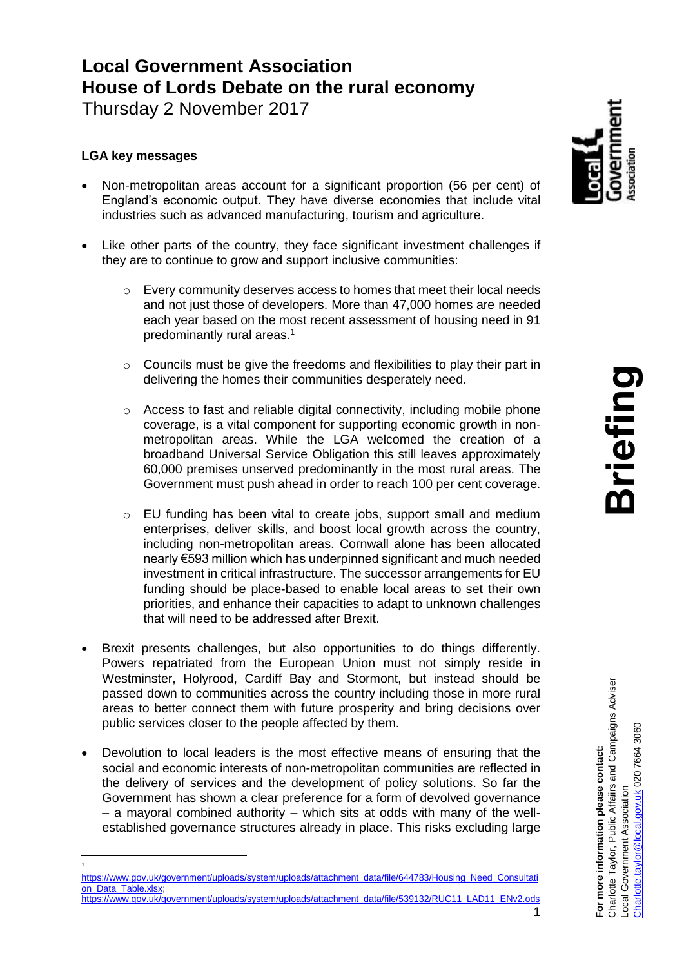# **Local Government Association House of Lords Debate on the rural economy**

Thursday 2 November 2017

# **LGA key messages**

 1

- Non-metropolitan areas account for a significant proportion (56 per cent) of England's economic output. They have diverse economies that include vital industries such as advanced manufacturing, tourism and agriculture.
- Like other parts of the country, they face significant investment challenges if they are to continue to grow and support inclusive communities:
	- o Every community deserves access to homes that meet their local needs and not just those of developers. More than 47,000 homes are needed each year based on the most recent assessment of housing need in 91 predominantly rural areas.<sup>1</sup>
	- o Councils must be give the freedoms and flexibilities to play their part in delivering the homes their communities desperately need.
	- o Access to fast and reliable digital connectivity, including mobile phone coverage, is a vital component for supporting economic growth in nonmetropolitan areas. While the LGA welcomed the creation of a broadband Universal Service Obligation this still leaves approximately 60,000 premises unserved predominantly in the most rural areas. The Government must push ahead in order to reach 100 per cent coverage.
	- o EU funding has been vital to create jobs, support small and medium enterprises, deliver skills, and boost local growth across the country, including non-metropolitan areas. Cornwall alone has been allocated nearly €593 million which has underpinned significant and much needed investment in critical infrastructure. The successor arrangements for EU funding should be place-based to enable local areas to set their own priorities, and enhance their capacities to adapt to unknown challenges that will need to be addressed after Brexit.
- Brexit presents challenges, but also opportunities to do things differently. Powers repatriated from the European Union must not simply reside in Westminster, Holyrood, Cardiff Bay and Stormont, but instead should be passed down to communities across the country including those in more rural areas to better connect them with future prosperity and bring decisions over public services closer to the people affected by them.
- Devolution to local leaders is the most effective means of ensuring that the social and economic interests of non-metropolitan communities are reflected in the delivery of services and the development of policy solutions. So far the Government has shown a clear preference for a form of devolved governance – a mayoral combined authority – which sits at odds with many of the wellestablished governance structures already in place. This risks excluding large



[https://www.gov.uk/government/uploads/system/uploads/attachment\\_data/file/644783/Housing\\_Need\\_Consultati](https://www.gov.uk/government/uploads/system/uploads/attachment_data/file/644783/Housing_Need_Consultation_Data_Table.xlsx) on Data Table.xlsx;

<sup>1</sup> [https://www.gov.uk/government/uploads/system/uploads/attachment\\_data/file/539132/RUC11\\_LAD11\\_ENv2.ods](https://www.gov.uk/government/uploads/system/uploads/attachment_data/file/539132/RUC11_LAD11_ENv2.ods)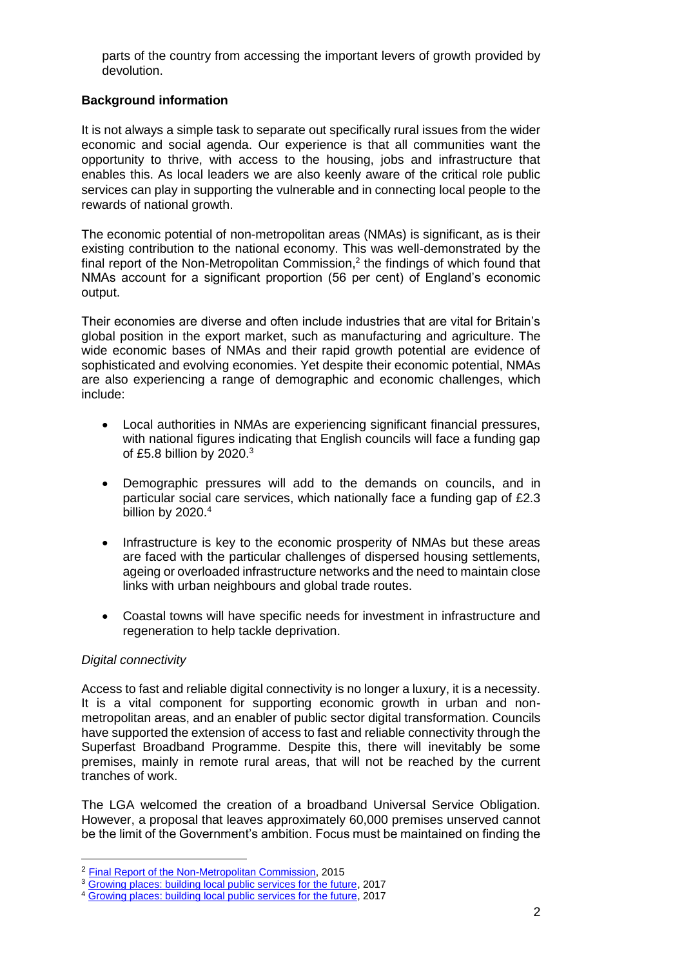parts of the country from accessing the important levers of growth provided by devolution.

## **Background information**

It is not always a simple task to separate out specifically rural issues from the wider economic and social agenda. Our experience is that all communities want the opportunity to thrive, with access to the housing, jobs and infrastructure that enables this. As local leaders we are also keenly aware of the critical role public services can play in supporting the vulnerable and in connecting local people to the rewards of national growth.

The economic potential of non-metropolitan areas (NMAs) is significant, as is their existing contribution to the national economy. This was well-demonstrated by the final report of the Non-Metropolitan Commission,<sup>2</sup> the findings of which found that NMAs account for a significant proportion (56 per cent) of England's economic output.

Their economies are diverse and often include industries that are vital for Britain's global position in the export market, such as manufacturing and agriculture. The wide economic bases of NMAs and their rapid growth potential are evidence of sophisticated and evolving economies. Yet despite their economic potential, NMAs are also experiencing a range of demographic and economic challenges, which include:

- Local authorities in NMAs are experiencing significant financial pressures, with national figures indicating that English councils will face a funding gap of £5.8 billion by  $2020.<sup>3</sup>$
- Demographic pressures will add to the demands on councils, and in particular social care services, which nationally face a funding gap of £2.3 billion by  $2020.<sup>4</sup>$
- Infrastructure is key to the economic prosperity of NMAs but these areas are faced with the particular challenges of dispersed housing settlements, ageing or overloaded infrastructure networks and the need to maintain close links with urban neighbours and global trade routes.
- Coastal towns will have specific needs for investment in infrastructure and regeneration to help tackle deprivation.

#### *Digital connectivity*

Access to fast and reliable digital connectivity is no longer a luxury, it is a necessity. It is a vital component for supporting economic growth in urban and nonmetropolitan areas, and an enabler of public sector digital transformation. Councils have supported the extension of access to fast and reliable connectivity through the Superfast Broadband Programme. Despite this, there will inevitably be some premises, mainly in remote rural areas, that will not be reached by the current tranches of work.

The LGA welcomed the creation of a broadband Universal Service Obligation. However, a proposal that leaves approximately 60,000 premises unserved cannot be the limit of the Government's ambition. Focus must be maintained on finding the

<sup>&</sup>lt;sup>2</sup> [Final Report of the Non-Metropolitan Commission,](https://www.local.gov.uk/sites/default/files/documents/devolution-non-metropolit-4cf.pdf) 2015

<sup>&</sup>lt;sup>3</sup> [Growing places: building local public services for the future,](https://www.local.gov.uk/growing-places-building-local-public-services-future) 2017

<sup>4</sup> [Growing places: building local public services for the future,](https://www.local.gov.uk/growing-places-building-local-public-services-future) 2017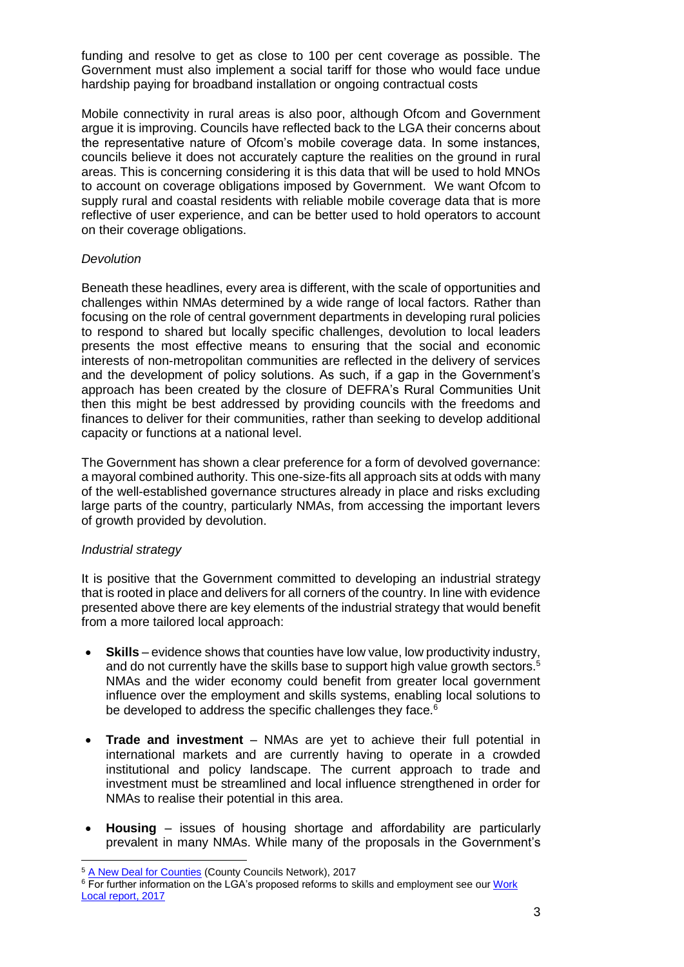funding and resolve to get as close to 100 per cent coverage as possible. The Government must also implement a social tariff for those who would face undue hardship paying for broadband installation or ongoing contractual costs

Mobile connectivity in rural areas is also poor, although Ofcom and Government argue it is improving. Councils have reflected back to the LGA their concerns about the representative nature of Ofcom's mobile coverage data. In some instances, councils believe it does not accurately capture the realities on the ground in rural areas. This is concerning considering it is this data that will be used to hold MNOs to account on coverage obligations imposed by Government. We want Ofcom to supply rural and coastal residents with reliable mobile coverage data that is more reflective of user experience, and can be better used to hold operators to account on their coverage obligations.

## *Devolution*

Beneath these headlines, every area is different, with the scale of opportunities and challenges within NMAs determined by a wide range of local factors. Rather than focusing on the role of central government departments in developing rural policies to respond to shared but locally specific challenges, devolution to local leaders presents the most effective means to ensuring that the social and economic interests of non-metropolitan communities are reflected in the delivery of services and the development of policy solutions. As such, if a gap in the Government's approach has been created by the closure of DEFRA's Rural Communities Unit then this might be best addressed by providing councils with the freedoms and finances to deliver for their communities, rather than seeking to develop additional capacity or functions at a national level.

The Government has shown a clear preference for a form of devolved governance: a mayoral combined authority. This one-size-fits all approach sits at odds with many of the well-established governance structures already in place and risks excluding large parts of the country, particularly NMAs, from accessing the important levers of growth provided by devolution.

#### *Industrial strategy*

It is positive that the Government committed to developing an industrial strategy that is rooted in place and delivers for all corners of the country. In line with evidence presented above there are key elements of the industrial strategy that would benefit from a more tailored local approach:

- **Skills**  evidence shows that counties have low value, low productivity industry, and do not currently have the skills base to support high value growth sectors.<sup>5</sup> NMAs and the wider economy could benefit from greater local government influence over the employment and skills systems, enabling local solutions to be developed to address the specific challenges they face.<sup>6</sup>
- **Trade and investment**  NMAs are yet to achieve their full potential in international markets and are currently having to operate in a crowded institutional and policy landscape. The current approach to trade and investment must be streamlined and local influence strengthened in order for NMAs to realise their potential in this area.
- **Housing**  issues of housing shortage and affordability are particularly prevalent in many NMAs. While many of the proposals in the Government's

 <sup>5</sup> [A New Deal for Counties](http://www.countycouncilsnetwork.org.uk/counties-call-new-deal-following-general-election/) (County Councils Network), 2017

<sup>&</sup>lt;sup>6</sup> For further information on the LGA's proposed reforms to skills and employment see our Work [Local report,](https://www.local.gov.uk/work-local-our-vision-integrated-and-devolved-employment-and-skills-services-full-report) 2017